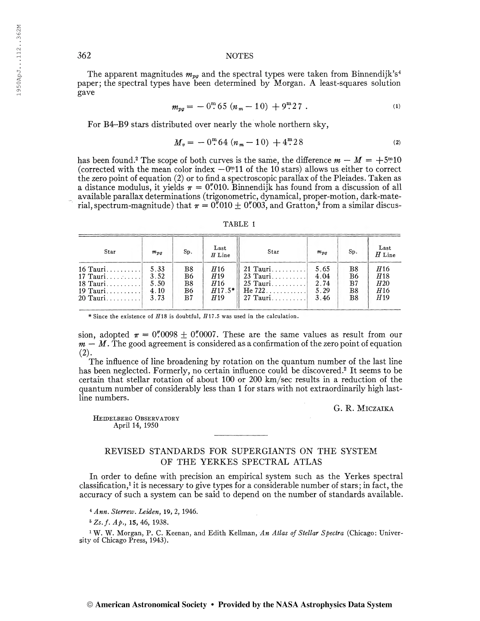## 362 NOTES

The apparent magnitudes  $m_{pg}$  and the spectral types were taken from Binnendijk's<sup>4</sup> paper; the spectral types have been determined by Morgan. A least-squares solution gave  $m_{pq} = -0^{\text{m}} 65 (n_m - 10) + 9^{\text{m}} 27$  . (i)

$$
m_{pq} = -0^{\mathrm{m}} 65 (n_m - 10) + 9^{\mathrm{m}} 27 \tag{1}
$$

For B4-B9 stars distributed over nearly the whole northern sky,

$$
M_v = -0^{\text{m}} 64 (n_m - 10) + 4^{\text{m}} 28
$$
 (2)

has been found.<sup>2</sup> The scope of both curves is the same, the difference  $m - M = +5$ <sup>m</sup>10 (corrected with the mean color index  $-0<sup>m</sup>11$  of the 10 stars) allows us either to correct the zero point of equation (2) or to find a spectroscopic parallax of the Pleiades. Taken as a distance modulus, it yields  $\pi = 0''010$ . Binnendijk has found from a discussion of all available parallax determinations (trigonometric, dynamical, proper-motion, dark-material, spectrum-magnitude) that  $\pi = 0''\cancel{0}10 \pm 0''\cancel{0}03$ , and Gratton,<sup>5</sup> from a similar discus-

| TABLE |  |
|-------|--|
|       |  |

| Star       | $m_{\overline{D}a}$ | Sp. | Last<br>$H$ Line       | Star       | $m_{\overline{D}a}$ | Sp.            | Last<br>$H$ Line |  |
|------------|---------------------|-----|------------------------|------------|---------------------|----------------|------------------|--|
| $16$ Tauri | 5.33                | Β8  | H16                    | 21 Tauri   | 5.65                | B8             | <i>H</i> 16      |  |
| 17 Tauri   | 3.52                | B6  | H <sub>19</sub>        | $23$ Tauri | 4.04                | B6             | H18              |  |
| $18$ Tauri | 5.50                | B8  | H16                    | $25$ Tauri | 2.74                | B <sub>7</sub> | H20              |  |
| 19 Tauri   | 4.10                | B6  | $H17.5*$               | He 722     | 5.29                | B8             | <i>H</i> 16      |  |
| $20$ Tauri | 3.73                | B7  | <i>H</i> <sub>19</sub> | $27$ Tauri | 3.46                | B8             | H <sub>19</sub>  |  |

\* Since the existence of  $H18$  is doubtful,  $H17.5$  was used in the calculation.

sion, adopted  $\pi = 0''/0098 \pm 0''/0007$ . These are the same values as result from our  $m - M$ . The good agreement is considered as a confirmation of the zero point of equation  $(2)$ .

The influence of line broadening by rotation on the quantum number of the last line has been neglected. Formerly, no certain influence could be discovered.<sup>2</sup> It seems to be certain that stellar rotation of about 100 or 200 km/sec results in a reduction of the quantum number of considerably less than <sup>1</sup> for stars with not extraordinarily high lastline numbers.

G. R. Miczaika

HEIDELBERG OBSERVATORY April 14, 1950

## REVISED STANDARDS FOR SUPERGIANTS ON THE SYSTEM OF THE YERKES SPECTRAL ATLAS

In order to define with precision an empirical system such as the Yerkes spectral classification,<sup>1</sup> it is necessary to give types for a considerable number of stars; in fact, the accuracy of such a system can be said to depend on the number of standards available.

<sup>4</sup> Ann. Sterrew. Leiden, 19, 2, 1946.

 $*Zs.f.$  Ap., 15, 46, 1938.

<sup>1</sup> W. W. Morgan, P. C. Keenan, and Edith Kellman, An Atlas of Stellar Spectra (Chicago: University of Chicago Press, 1943).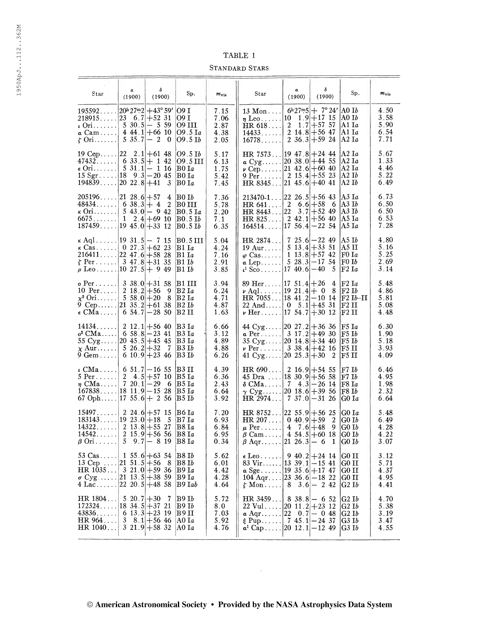| \DL |  |
|-----|--|
|-----|--|

Standard Stars

|                                                                                                                                                 | α                                                                         | δ                                                                                           |                                                                          |                                      | TABLE 1<br><b>STANDARD STARS</b>                                                                                                                                                                 | α                                                                             | δ                                                                                            |                                                                                 |                                      |
|-------------------------------------------------------------------------------------------------------------------------------------------------|---------------------------------------------------------------------------|---------------------------------------------------------------------------------------------|--------------------------------------------------------------------------|--------------------------------------|--------------------------------------------------------------------------------------------------------------------------------------------------------------------------------------------------|-------------------------------------------------------------------------------|----------------------------------------------------------------------------------------------|---------------------------------------------------------------------------------|--------------------------------------|
| Star<br>$195592$ 20 <sup>h</sup> $27m2$ +43° 59'                                                                                                | (1900)                                                                    | (1900)                                                                                      | Sp.<br> O9 I                                                             | $m_{\mathrm{vis}}$<br>7.15           | Star<br>$13$ Mon                                                                                                                                                                                 | (1900)                                                                        | (1900)<br>$6h27m5$ + $7°24'$ A0 Ib                                                           | Sp.                                                                             | $m_{\rm vis}$<br>4.50                |
| $218915$ 23<br>$\iota$ Ori<br>$\alpha$ Cam<br>$\zeta$ Ori                                                                                       | $5 \; 35.7 - 2$                                                           | $6.7 + 52.31$<br>$5 \times 30.5 - 559$<br>$4\,44.1 + 66\,10$<br>$\theta$                    | O9 I<br>09 III<br>$09.5$ $Ia$<br>09.5 B                                  | 7.06<br>2.87<br>4.38<br>2.05         | $\eta$ Leo<br>HR 618<br>14433<br>16778                                                                                                                                                           | 10<br>2                                                                       | $1.9 + 17.15$<br>$1.7 + 57.57$<br>2 14 8 $+56$ 47<br>$2 \t36.3 + 59 \t24$                    | A0 Ib<br> A1 I $a$<br> A1 Ia<br>$ $ A2 I $\emph{a}$                             | 3.58<br>5.90<br>6.54<br>7.71         |
| 19 Cep   22<br>$47432$ 6 33.5 + 1 42<br>$\epsilon$ Ori<br>$15 \text{ Sgr} \dots$ 18 9.3 - 20 45<br>194839                                       | $[20 \t22.8] + 41$                                                        | $2.1 + 61.48$<br>$5 \t31.1 - 1 \t16$<br>- 3                                                 | 09.5 B<br> O9 5 III<br>$_{\rm B0\,Ia}$<br>BO Ia<br> B0 Ia                | 5.17<br>6.13<br>1.75<br>5.42<br>7.45 | HR 7573  19 47.8 + 24 44<br>$\alpha$ Cyg<br>$\nu$ Cep<br>9 Per<br>HR $8345 2145.6 +4041$                                                                                                         | $ 20 \t38.0  + 44 \t55$<br>$ 21 \t42.6  + 60 \t40$<br>$2 \t15.4 + 55 \t23$    |                                                                                              | A2 Ia<br>$ {\rm A2\ I}a$<br> A2 Ia<br> A2 Ib<br> A2 Ib                          | 5.67<br>1.33<br>4.46<br>5.22<br>6.49 |
| 205196<br>48434<br>$\kappa$ Ori<br>6675.<br>187459                                                                                              | $ 21 \t28.6  + 57$<br>$6 \t38.3 + 4$<br>$\mathbf{1}$                      | 4<br>-2<br>$5 \; 43.0 - 9 \; 42$<br>$2.4 + 69.10$<br>$ 19 \t45.0  + 33 \t12$                | $ {\rm B0\ I}b $<br> B0 III<br> B0.5 Ia<br>$ {\rm B0.5~I}b $<br> B0.5 Ib | 7.36<br>5.78<br>2.20<br>7.1<br>6.35  | 213470-1.<br>HR641<br>HR 8443<br>HR825<br>164514                                                                                                                                                 | $[22 \t26.5] + 56 \t43$<br>$\boldsymbol{2}$<br> 22<br>$ 17 \t56.4  - 22 \t54$ | $6.6 + 58$<br>- 6<br>$3.7 + 52.49$<br>$2 \t42.1 + 56 \t40$                                   | A3 Ia<br> A3 Ib<br> A3 Ib<br> A5 Ia<br> A5 Ia                                   | 6.73<br>6.50<br>6.50<br>6.53<br>7.28 |
| $\kappa$ Aql   19 31.5   - 7 15<br>$\kappa$ Cas<br>$216411$ 22 47.6 + 58 28<br>$\zeta$ Per<br>$\rho$ Leo [10 27.5] + 9 49                       |                                                                           | $0 \t27.3 + 62 \t23$<br>$3 \t47.8 + 31 \t35$                                                | B0.5 III<br> B1 Ia<br>B1 Ia<br>B1Ib<br> B1 Ib                            | 5.04<br>4.24<br>7.16<br>2.91<br>3.85 | HR 2874<br>$19 \text{ Aur.} \dots$<br>$\varphi$ Cas<br>$\alpha$ Lep<br>$\mu^1$ Sco   17 40.6 $ -40$                                                                                              |                                                                               | $725.6 - 2249$<br>$5 \; 13.4 + 33 \; 51$<br>$1 \; 13.8 \pm 57.42$<br>$5\;28.3 - 17\;54$<br>5 | A5 Ib<br>A5 II<br>F0Ia<br>F0Ib<br> F2 Ia                                        | 4.80<br>5.16<br>5.25<br>2.69<br>3.14 |
| o Per<br>$10$ Per<br>$\chi^2$ Ori<br>9 Cep $ 21 \t35.2 +61 \t38$<br>$\epsilon$ CMa                                                              | $\begin{array}{ c c }\n2 & 18 & 2 & +56 \\ 5 & 58 & 0 & +20\n\end{array}$ | $338.0 + 3158$<br>9<br>- 8<br>$6 \t54.7 - 28 \t50$                                          | B1 III<br> B2 Ia<br> B2 Ia<br> B2 Ib<br> B2 II                           | 3.94<br>6.24<br>4.71<br>4.87<br>1.63 | 89 Her $ 17 \t51.4 +26$<br>$\nu$ Aql   19 21.4   + 0<br>$HR$ 7055   18 41.2   -10 14<br>22 And   0 $5.1$   +45 31<br>$\nu$ Her   17 54.7   + 30 12                                               |                                                                               | 4<br>- 8                                                                                     | F2 Ia<br>$ {\rm F2~I}b$<br>$ F2 Ib-II $<br> F2 II<br>$ {\rm F2 \ II} $          | 5.48<br>4.86<br>5.81<br>5.08<br>4.48 |
| 14134<br>$\sigma^2$ CMa   6 58.8 – 23 41<br>55 $Cyg$ [20 45.5] + 45 45<br>$\chi$ Aur 5 26.2 + 32<br>$9 \text{ Gem} \dots$                       |                                                                           | $2 \t12.1 + 56 \t40$<br>- 7<br>6 10.9 + 23 46                                               | B3 Ia<br> B3 Ia<br> B3 Ia<br> B3 Ib<br> B3 Ib                            | 6.66<br>3.12<br>4.89<br>4.88<br>6.26 | 44 Cyg $ 20 \t27.2 +36 \t36$<br>$\alpha$ Per 3 17.2 + 49 30<br>35 Cyg $ 20 \t14.8  + 34 \t40$<br>$\nu$ Per 3 38.4 +42 16<br>41 Cyg $ 20 \t25.3  + 30$                                            |                                                                               | - 2                                                                                          | $F5$ $Ia$<br>$\mathbb{F}5~\mathrm{I}b$<br>  $F5$ ${\bf I}b$<br> F5 II<br> F5 II | 6.30<br>1.90<br>5.18<br>3.93<br>4.09 |
| $\mu$ CMa 6 51.7 – 16 55<br>5 Per $ 2 \t 4.5 +57 \t 10$<br>$\eta$ CMa<br>$167838$ 18 11.9 - 15 28<br>67 Oph $ 17 \t55.6  + 2 \t56$              | $720.1 - 29$                                                              | - 6                                                                                         | B3 II<br> B5 Ia<br> B5 Ia<br> B5 Ia<br> B5 Ib                            | 4.39<br>6.36<br>2.43<br>6.64<br>3.92 | HR 690<br>45 Dra $ 18 \t30.9 +56 \t58$<br>$\delta$ CMa<br>$\gamma$ Cyg [20 18.6] + 39 56<br>HR 2974                                                                                              | $\mid$ 2 16.9 + 54 55<br>$7 \t37.0 - 31 \t26$                                 | $7 \quad 4.3 - 26 \quad 14$                                                                  | F7Ib<br>F7 Ib<br>$\vert$ F8 I $a$<br>$\vert$ F8 I $b$<br>G0Ia                   | 6.46<br>4.95<br>1.98<br>2.32<br>6.64 |
| 15497<br>$183143$ [19 23.0 + 18]<br>14322<br>14542<br>$\beta$ Ori                                                                               |                                                                           | $2\;24.6 + 57\;15$<br>- 5<br>$2 \t13.8 + 55 \t27$<br>$2 \t15.9 + 56 \t56$<br>$5$ 9.7 - 8 19 | B6 Ia<br> B7 Ia<br>B8 Ia<br> B8 Ia<br> B8 Ia                             | 7.20<br>6.93<br>6.84<br>6.95<br>0.34 | HR $8752 22\;55.9 +56\;25$<br>HR 207   0 40.9 + 59<br>$\mu$ Per 4 7.6 + 48<br>$\beta$ Cam 4 54.5 + 60 18<br>$\beta$ Aqr   21 26.3   - 6                                                          |                                                                               | 2<br>9<br>-1                                                                                 | G0Ia<br>GO I $\emph{b}$<br>G0Ib<br>GO Ib<br>GO Ib                               | 5.48<br>6.49<br>4.28<br>4.22<br>3.07 |
| 53 Cas $1\,55.6 + 63\,54$<br>13 Cep $ 21\ \ 51.5 +56$<br>HR $1035$ 3 21.0 + 59 36<br>$\sigma$ Cyg  21 13.5 + 38 59<br>$4$ Lac [22 20.5] + 48 58 |                                                                           | - 8                                                                                         | B8Ib<br>$ {\rm B8}\, {\rm I}b$<br> B9 Ia<br> B9 Ia<br>$B9$ Tab           | 5.62<br>6.01<br>4.42<br>4.28<br>4.64 | $\epsilon$ Leo 9 40.2 + 24 14<br>83 Vir $ 13 \t39 \t1  - 15 \t41$<br>$\alpha$ Sge [19 35.6] + 17 47<br>$104 \text{ Aqr}$ $ 23 \text{ 36.6}  - 18 \text{ 22}$<br>$\zeta$ Mon 8 3.6 - 242          |                                                                               |                                                                                              | G <sub>0</sub> II<br>G0 II<br>G0 II<br>G <sub>0</sub> II<br>G2Ib                | 3.12<br>5.71<br>4.37<br>4.95<br>4.41 |
| HR 1804<br>$172324$ 18 34.5 + 37 21<br>$43836$ 6 $13.3+23$ 19<br>HR 964<br>HR $1040$ 3 $21.9+58.32$                                             | $5 \t20.7 + 30$                                                           | 7<br>$3 \t8.1 + 56 \t46$                                                                    | B9 Ib<br> B9 Ib<br> B9 II<br>AO Ia<br> A0 Ia                             | 5.72<br>8.0<br>7.03<br>5.92<br>4.76  | HR $3459$ 8 38.8 - 6 52<br>22 Vul $ 20 \t11.2 +23 \t12$<br>$\alpha \text{ Aqr} \dots \dots  22 \quad 0 \quad 7 -0 \quad 48$<br>$\xi$ Pup   7 45.1   - 24 37<br>$\alpha^1$ Cap   20 12.1   -12 49 |                                                                               |                                                                                              | G2Ib<br>G2Ib<br>G2Ib<br>G3Ib<br>G3Ib                                            | 4.70<br>5.38<br>3.19<br>3.47<br>4.55 |